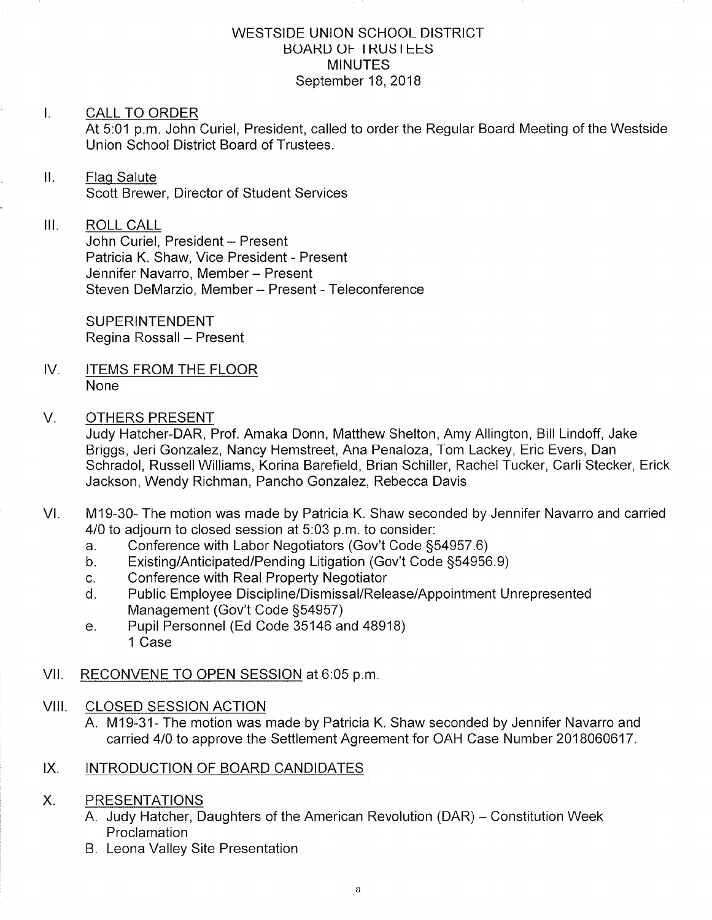#### WESTSIDE UNION SCHOOL DISTRICT **BOARD OF I RUSTEES MINUTES** September 18, 2018

### I. CALL TO ORDER

At 5:01 p.m. John Curiel, President, called to order the Regular Board Meeting of the Westside Union School District Board of Trustees.

## ll. Flaq Salute

Scott Brewer, Director of Student Services

## III. ROLL CALL

John Curiel, President - Present Patricia K. Shaw, Vice President - Present Jennifer Navarro, Member - Present Steven DeMarzio, Member - Present - Teleconference

**SUPERINTENDENT** Regina Rossall - Present

IV. ITEMS FROM THE FLOOR None

## V. OTHERS PRESENT

Judy Hatcher-DAR, Prof. Amaka Donn, Matthew Shelton, Amy Allington, Bill Lindoff, Jake Briggs, Jeri Gonzalez, Nancy Hemstreet, Ana Penaloza, Tom Lackey, Eric Evers, Dan Schradol, RussellWilliams, Korina Barefield, Brian Schiller, Rachel Tucker, Carli Stecker, Erick Jackson, Wendy Richman, Pancho Gonzalez, Rebecca Davis

- VI. M19-30- The motion was made by Patricia K. Shaw seconded by Jennifer Navarro and carried 4/0 to adjourn to closed session at 5:03 p.m. to consider:<br>a. Conference with Labor Negotiators (Gov't Code §54957.6)
	-
	- a. Conference with Labor Negotiators (Gov't Code §54957.6)<br>b. Existing/Anticipated/Pending Litigation (Gov't Code §54956.9)<br>c. Conference with Real Property Negotiator
	-
	- c. Conference with Real Property Negotiator<br>d. Public Employee Discipline/Dismissal/Release/Appointment Unrepresented Management (Gov't Code §54957)<br>
	e. Pupil Personnel (Ed Code 35146 and 48918)
	- 1 Case
- Vll. RECONVENE TO OPEN SESSION at 6:05 p.m

## VIII. CLOSED SESSION ACTION

A. M19-31- The motion was made by Patricia K. Shaw seconded by Jennifer Navarro and carried 410 to approve the Settlement Agreement for OAH Case Number 2018060617.

## IX. INTRODUCTION OF BOARD CANDIDATES

#### PRESENTATIONS X.

- A. Judy Hatcher, Daughters of the American Revolution (DAR) Constitution Week **Proclamation**
- B. Leona Valley Site Presentation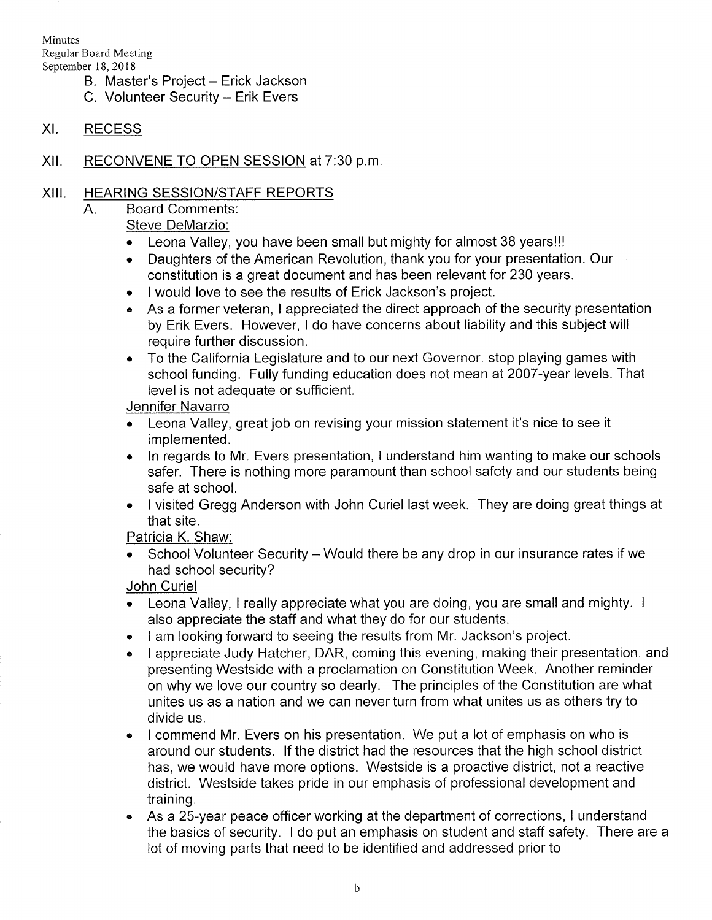Minutes Regular Board Meeting September 18,2018

- B. Master's Project Erick Jackson
- C. Volunteer Security Erik Evers
- XI. RECESS
- Xll. RECONVENE TO OPEN SESSION at 7:30 p.m

## XIII. HEARING SESSION/STAFF REPORTS

Board Comments  $A_{\cdot}$ 

# Steve DeMarzio:

- . Leona Valley, you have been small but mighty for almost 38 years!!!
- . Daughters of the American Revolution, thank you for your presentation. Our constitution is a great document and has been relevant for 230 years.
- . I would love to see the results of Erick Jackson's project.
- . As a former veteran, I appreciated the direct approach of the security presentation by Erik Evers. However, I do have concerns about liability and this subject will require further discussion.
- . To the California Legislature and to our next Governor. stop playing games with school funding. Fully funding education does not mean at 2007-year levels. That level is not adequate or sufficient.

## Jennifer Navarro

- . Leona Valley, great job on revising your mission statement it's nice to see it implemented.
- . ln regards to Mr. Evers presentation, I understand him wanting to make our schools safer. There is nothing more paramount than school safety and our students being safe at school.
- . <sup>I</sup>visited Gregg Anderson with John Curiel last week. They are doing great things at that site.

Patricia K. Shaw:

School Volunteer Security - Would there be any drop in our insurance rates if we had school security?

John Curiel

- $\bullet$   $\;$  Leona Valley, I really appreciate what you are doing, you are small and mighty. I also appreciate the staff and what they do for our students.
- I am looking forward to seeing the results from Mr. Jackson's project. a
- <sup>I</sup>appreciate Judy Hatcher, DAR, coming this evening, making their presentation, and presenting Westside with a proclamation on Constitution Week. Another reminder on why we love our country so dearly. The principles of the Constitution are what unites us as a nation and we can never turn from what unites us as others try to divide us. a
- I commend Mr. Evers on his presentation. We put a lot of emphasis on who is around our students. lf the district had the resources that the high school district has, we would have more options. Westside is a proactive district, not a reactive district. Westside takes pride in our emphasis of professional development and training. a
- As a 25-year peace officer working at the department of corrections, I understand the basics of security. I do put an emphasis on student and staff safety. There are a lot of moving parts that need to be identified and addressed prior to o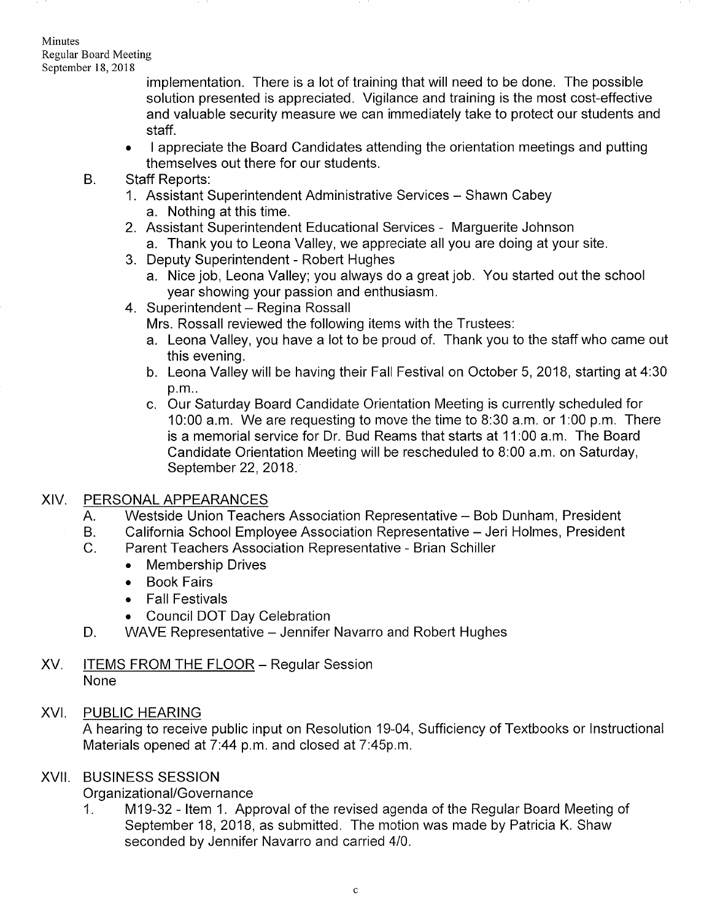#### Minutes Regular Board Meeting September 18,2018

implementation. There is a lot of training that will need to be done. The possible solution presented is appreciated. Vigilance and training is the most cost-effective and valuable security measure we can immediately take to protect our students and staff.

- . I appreciate the Board Candidates attending the orientation meetings and putting themselves out there for our students.
- 
- B. Staff Reports:<br>1. Assistant Superintendent Administrative Services Shawn Cabey a. Nothing at this time.
	- 2. Assistant Superintendent Educational Services Marguerite Johnson a. Thank you to Leona Valley, we appreciate all you are doing at your site.
	- 3. Deputy Superintendent Robert Hughes
	- a. Nice job, Leona Valley; you always do a great job. You started out the school year showing your passion and enthusiasm.<br>4. Superintendent – Regina Rossall
	- - Mrs. Rossall reviewed the following items with the Trustees:
		- a. Leona Valley, you have a lot to be proud of. Thank you to the staff who came out this evening.<br>b. Leona Valley will be having their Fall Festival on October 5, 2018, starting at 4:30
		- p.m..
		- c. Our Saturday Board Candidate Orientation Meeting is currently scheduled for 10:00 a.m. We are requesting to move the time to B:30 a.m. or 1 :00 p.m. There is a memorial service for Dr. Bud Reams that starts at 11:00 a.m. The Board Candidate Orientation Meeting will be rescheduled to 8:00 a.m. on Saturday, September 22, 2018.

## XIV. PERSONALAPPEARANCES

- A. Westside Union Teachers Association Representative -- Bob Dunham, President
- B. California School Employee Association Representative - Jeri Holmes, President
- $C_{1}$ Parent Teachers Association Representative - Brian Schiller
	- . Membership Drives
	- . Book Fairs
	- . Fall Festivals
	- . Council DOT Day Celebration
- D. WAVE Representative Jennifer Navarro and Robert Hughes
- XV. ITEMS FROM THE FLOOR Regular Session None

## XVI. PUBLIC HEARING

A hearing to receive public input on Resolution 19-04, Sufficiency of Textbooks or lnstructional Materials opened at  $7:44$  p.m. and closed at  $7:45$ p.m.

#### BUSINESS SESSION XVII

Organizational/Governance<br>1. M19-32 - Item 1. Approval of the revised agenda of the Regular Board Meeting of September 18, 2018, as submitted. The motion was made by Patricia K. Shaw seconded by Jennifer Navarro and carried 410.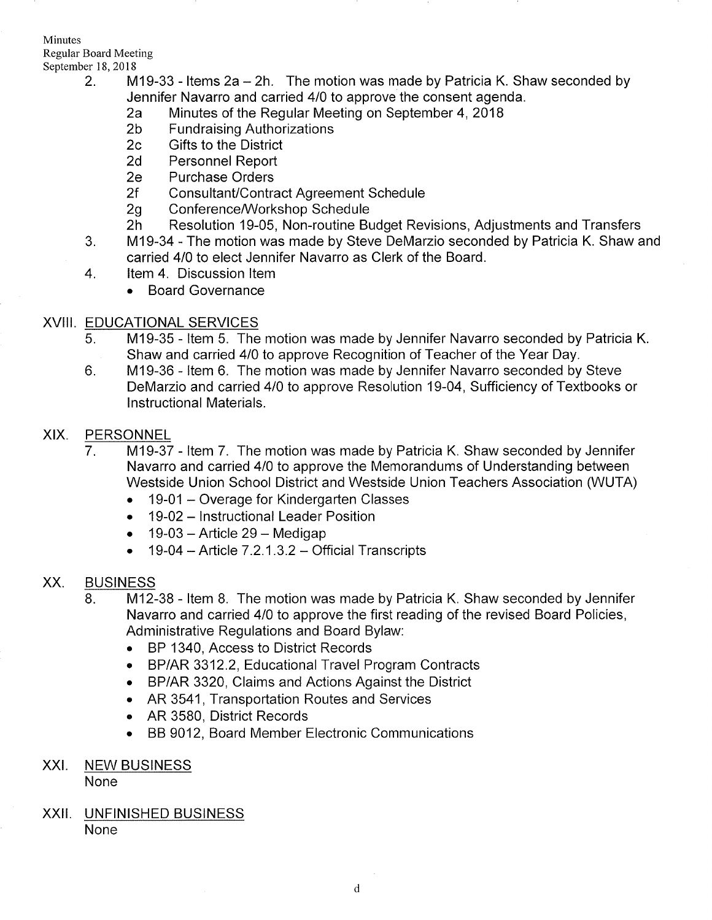Minutes Regular Board Meeting

- September 18, 2018<br>2. M19-33 Items 2a 2h. The motion was made by Patricia K. Shaw seconded by<br>1ennifer Navarro and carried 4/0 to approve the consent agenda.
	- Fend Mand Carried Analysis Carried 23 to approve the Regular Meeting on September 4, 2018<br>19 The Fundraising Authorizations 2c Gifts to the District
	-
	-
	- 2d Personnel Report<br>2e Purchase Orders
	-
	-
	-
	- 2f Consultant/Contract Agreement Schedule<br>2g Conference/Workshop Schedule<br>2h Resolution 19-05, Non-routine Budget Revisions, Adjustments and Transfers<br>3. M19-34 The motion was made by Steve DeMarzio seconded by Patricia
	- carried 410 to elect Jennifer Navarro as Clerk of the Board.
	- 4. ltem 4. Discussion ltem
		- . Board Governance

## XVIII. EDUCATIONAL SERVICES

- 5. M19-35 ltem 5. The motion was made by Jennifer Navarro seconded by Patricia K. Shaw and carried 410 to approve Recognition of Teacher of the Year Day. 6. M19-36 - ltem 6. The motion was made by Jennifer Navarro seconded by Steve
- DeMarzio and carried 410 to approve Resolution 19-04, Sufficiency of Textbooks or <sup>I</sup>nstructional Materials.

## XIX. PERSONNEL

- 7. M19-37 Item 7. The motion was made by Patricia K. Shaw seconded by Jennifer Navarro and carried 410 to approve the Memorandums of Understanding between Westside Union School District and Westside Union Teachers Association (WUTA)
	- . 19-01 Overage for Kindergarten Classes
	- . 19-02 lnstructional Leader Position
	- $\bullet$  19-03 Article 29 Medigap
	- $\bullet$  19-04 Article 7.2.1.3.2 Official Transcripts

## XX. BUSINESS

- 8. M12-38 Item 8. The motion was made by Patricia K. Shaw seconded by Jennifer Navarro and carried 410 to approve the first reading of the revised Board Policies, Administrative Regulations and Board Bylaw:
	- . BP 1340, Access to District Records
	- . BP/AR 3312.2, Educational Travel Program Contracts
	- BP/AR 3320, Claims and Actions Against the District
	- . AR 3541, Transportation Routes and Services
	- AR 3580, District Records
	- . BB 9012, Board Member Electronic Communications
- XXI. NEW BUSINESS

None

XXII. UNFINISHED BUSINESS None